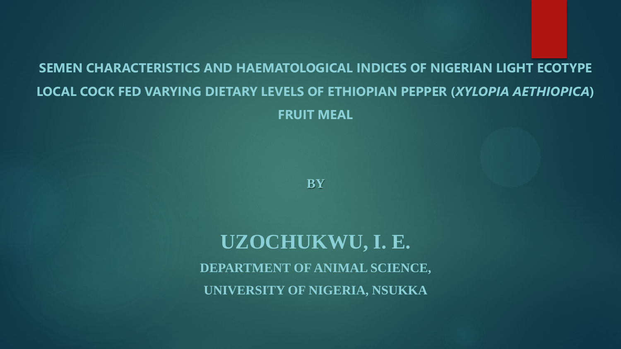#### **SEMEN CHARACTERISTICS AND HAEMATOLOGICAL INDICES OF NIGERIAN LIGHT ECOTYPE LOCAL COCK FED VARYING DIETARY LEVELS OF ETHIOPIAN PEPPER (***XYLOPIA AETHIOPICA***) FRUIT MEAL**

**BY** 

**UZOCHUKWU, I. E. DEPARTMENT OF ANIMAL SCIENCE, UNIVERSITY OF NIGERIA, NSUKKA**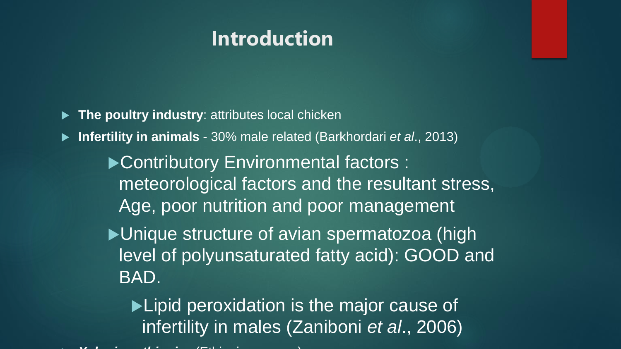#### **Introduction**

- **The poultry industry**: attributes local chicken
- **Infertility in animals**  30% male related (Barkhordari *et al*., 2013)
	- ▶ Contributory Environmental factors : meteorological factors and the resultant stress, Age, poor nutrition and poor management
	- ▶ Unique structure of avian spermatozoa (high level of polyunsaturated fatty acid): GOOD and BAD.
		- ▶ Lipid peroxidation is the major cause of infertility in males (Zaniboni *et al*., 2006)
- *Xylopia aethiopica* (Ethiopian pepper)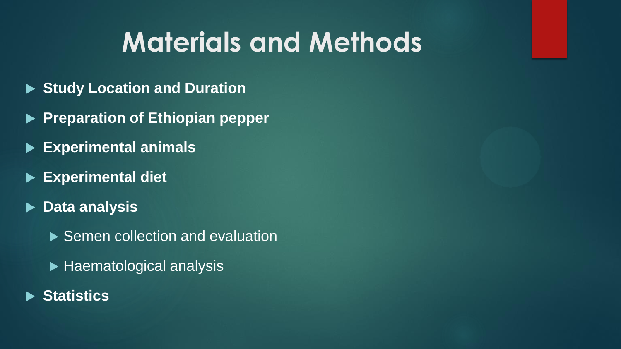## **Materials and Methods**

- **Study Location and Duration**
- **Preparation of Ethiopian pepper**
- **Experimental animals**
- **Experimental diet**
- **Data analysis**
	- ▶ Semen collection and evaluation
	- $\blacktriangleright$  Haematological analysis
- **Statistics**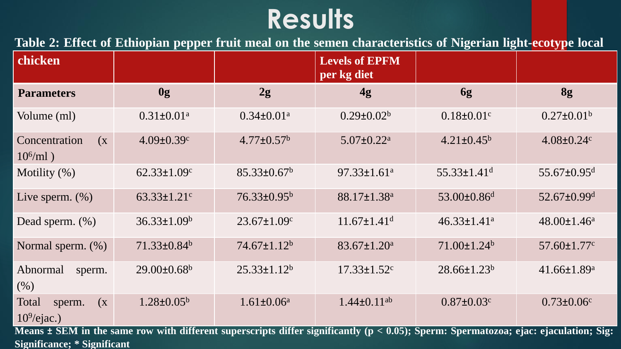### **Results**

**Table 2: Effect of Ethiopian pepper fruit meal on the semen characteristics of Nigerian light-ecotype local**

| chicken                                                                                                                                      |                               |                              | <b>Levels of EPFM</b><br>per kg diet |                               |                               |  |  |  |  |
|----------------------------------------------------------------------------------------------------------------------------------------------|-------------------------------|------------------------------|--------------------------------------|-------------------------------|-------------------------------|--|--|--|--|
| <b>Parameters</b>                                                                                                                            | 0g                            | 2g                           | 4g                                   | 6g                            | 8g                            |  |  |  |  |
| Volume (ml)                                                                                                                                  | $0.31 \pm 0.01$ <sup>a</sup>  | $0.34 \pm 0.01$ <sup>a</sup> | $0.29 \pm 0.02^b$                    | $0.18 \pm 0.01$ c             | $0.27 \pm 0.01^b$             |  |  |  |  |
| Concentration<br>$\left( \mathbf{X}\right)$<br>$10^6$ /ml)                                                                                   | $4.09 \pm 0.39$ c             | $4.77 \pm 0.57^b$            | $5.07 \pm 0.22$ <sup>a</sup>         | $4.21 \pm 0.45^b$             | $4.08 \pm 0.24$ c             |  |  |  |  |
| Motility $(\%)$                                                                                                                              | $62.33 \pm 1.09$ c            | $85.33 \pm 0.67^b$           | $97.33 \pm 1.61$ <sup>a</sup>        | $55.33 \pm 1.41$ <sup>d</sup> | $55.67 \pm 0.95$ <sup>d</sup> |  |  |  |  |
| Live sperm. $(\%)$                                                                                                                           | $63.33 \pm 1.21$ <sup>c</sup> | 76.33±0.95 <sup>b</sup>      | 88.17±1.38 <sup>a</sup>              | $53.00 \pm 0.86$ <sup>d</sup> | $52.67 \pm 0.99$ <sup>d</sup> |  |  |  |  |
| Dead sperm. $(\%)$                                                                                                                           | $36.33 \pm 1.09^b$            | $23.67 \pm 1.09$ c           | $11.67 \pm 1.41$ <sup>d</sup>        | $46.33 \pm 1.41$ <sup>a</sup> | $48.00 \pm 1.46^a$            |  |  |  |  |
| Normal sperm. (%)                                                                                                                            | $71.33 \pm 0.84$ <sup>b</sup> | $74.67 \pm 1.12^b$           | $83.67 \pm 1.20^a$                   | $71.00 \pm 1.24$ <sup>b</sup> | $57.60 \pm 1.77$ c            |  |  |  |  |
| Abnormal<br>sperm.<br>(% )                                                                                                                   | $29.00 \pm 0.68$ <sup>b</sup> | $25.33 \pm 1.12^b$           | $17.33 \pm 1.52$ <sup>c</sup>        | $28.66 \pm 1.23^b$            | 41.66±1.89 <sup>a</sup>       |  |  |  |  |
| Total<br>$\left( \text{X} \right)$<br>sperm.<br>$109/e$ jac.)                                                                                | $1.28 \pm 0.05^b$             | $1.61 \pm 0.06^a$            | $1.44 \pm 0.11$ <sup>ab</sup>        | $0.87 \pm 0.03$ c             | $0.73 \pm 0.06$ c             |  |  |  |  |
| Means $\pm$ SEM in the same row with different superscripts differ significantly ( $p < 0.05$ ); Sperm: Spermatozoa; ejac: ejaculation; Sig: |                               |                              |                                      |                               |                               |  |  |  |  |

**Significance; \* Significant**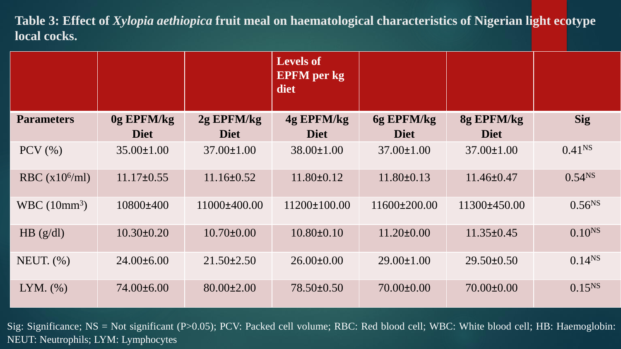**Table 3: Effect of** *Xylopia aethiopica* **fruit meal on haematological characteristics of Nigerian light ecotype local cocks.**

|                         |                  |                  | <b>Levels of</b><br><b>EPFM</b> per kg<br>diet |                  |                  |                    |
|-------------------------|------------------|------------------|------------------------------------------------|------------------|------------------|--------------------|
| <b>Parameters</b>       | 0g EPFM/kg       | 2g EPFM/kg       | 4g EPFM/kg                                     | 6g EPFM/kg       | 8g EPFM/kg       | <b>Sig</b>         |
|                         | <b>Diet</b>      | <b>Diet</b>      | <b>Diet</b>                                    | <b>Diet</b>      | <b>Diet</b>      |                    |
| $PCV$ $(\% )$           | $35.00 \pm 1.00$ | $37.00 \pm 1.00$ | $38.00 \pm 1.00$                               | $37.00 \pm 1.00$ | $37.00 \pm 1.00$ | 0.41 <sup>NS</sup> |
| RBC $(x10^6\text{/ml})$ | $11.17\pm0.55$   | $11.16 \pm 0.52$ | $11.80 \pm 0.12$                               | $11.80 \pm 0.13$ | $11.46 \pm 0.47$ | $0.54^{NS}$        |
| WBC $(10mm^3)$          | 10800±400        | 11000±400.00     | $11200\pm100.00$                               | 11600±200.00     | 11300±450.00     | $0.56^{NS}$        |
| $HB$ (g/dl)             | $10.30 \pm 0.20$ | $10.70 \pm 0.00$ | $10.80 \pm 0.10$                               | $11.20 \pm 0.00$ | $11.35 \pm 0.45$ | 0.10 <sup>NS</sup> |
| NEUT. $(\%)$            | $24.00\pm6.00$   | $21.50 \pm 2.50$ | $26.00 \pm 0.00$                               | $29.00 \pm 1.00$ | $29.50 \pm 0.50$ | $0.14^{NS}$        |
| $LYM.$ $(\% )$          | 74.00±6.00       | 80.00±2.00       | 78.50±0.50                                     | $70.00 \pm 0.00$ | 70.00±0.00       | $0.15^{NS}$        |

Sig: Significance; NS = Not significant (P>0.05); PCV: Packed cell volume; RBC: Red blood cell; WBC: White blood cell; HB: Haemoglobin: NEUT: Neutrophils; LYM: Lymphocytes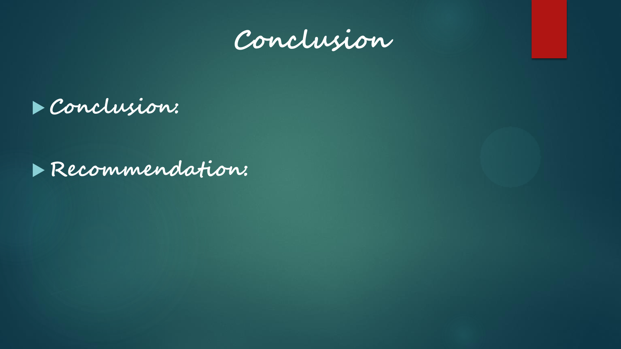



**Recommendation:**